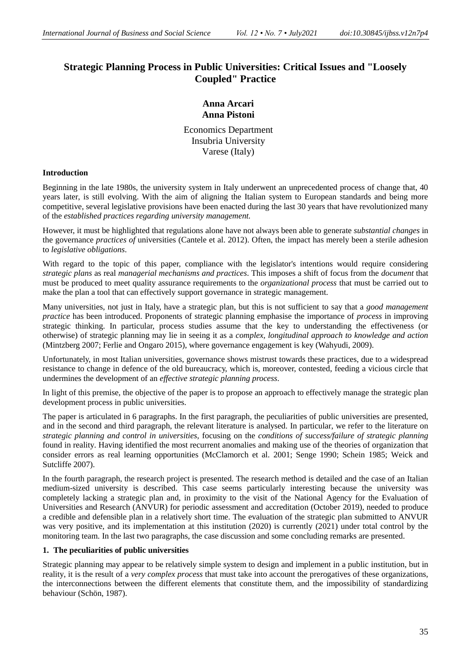# **Strategic Planning Process in Public Universities: Critical Issues and "Loosely Coupled" Practice**

## **Anna Arcari Anna Pistoni**

Economics Department Insubria University Varese (Italy)

## **Introduction**

Beginning in the late 1980s, the university system in Italy underwent an unprecedented process of change that, 40 years later, is still evolving. With the aim of aligning the Italian system to European standards and being more competitive, several legislative provisions have been enacted during the last 30 years that have revolutionized many of the *established practices regarding university management.*

However, it must be highlighted that regulations alone have not always been able to generate *substantial changes* in the governance *practices of* universities (Cantele et al. 2012). Often, the impact has merely been a sterile adhesion to *legislative obligations*.

With regard to the topic of this paper, compliance with the legislator's intentions would require considering *strategic plans* as real *managerial mechanisms and practices*. This imposes a shift of focus from the *document* that must be produced to meet quality assurance requirements to the *organizational process* that must be carried out to make the plan a tool that can effectively support governance in strategic management.

Many universities, not just in Italy, have a strategic plan, but this is not sufficient to say that a *good management practice* has been introduced. Proponents of strategic planning emphasise the importance of *process* in improving strategic thinking. In particular, process studies assume that the key to understanding the effectiveness (or otherwise) of strategic planning may lie in seeing it as a *complex, longitudinal approach to knowledge and action* (Mintzberg 2007; Ferlie and Ongaro 2015), where governance engagement is key (Wahyudi, 2009).

Unfortunately, in most Italian universities, governance shows mistrust towards these practices, due to a widespread resistance to change in defence of the old bureaucracy, which is, moreover, contested, feeding a vicious circle that undermines the development of an *effective strategic planning process*.

In light of this premise, the objective of the paper is to propose an approach to effectively manage the strategic plan development process in public universities.

The paper is articulated in 6 paragraphs. In the first paragraph, the peculiarities of public universities are presented, and in the second and third paragraph, the relevant literature is analysed. In particular, we refer to the literature on *strategic planning and control in universities,* focusing on the *conditions of success/failure of strategic planning*  found in reality. Having identified the most recurrent anomalies and making use of the theories of organization that consider errors as real learning opportunities (McClamorch et al. 2001; Senge 1990; Schein 1985; Weick and Sutcliffe 2007).

In the fourth paragraph, the research project is presented. The research method is detailed and the case of an Italian medium-sized university is described. This case seems particularly interesting because the university was completely lacking a strategic plan and, in proximity to the visit of the National Agency for the Evaluation of Universities and Research (ANVUR) for periodic assessment and accreditation (October 2019), needed to produce a credible and defensible plan in a relatively short time. The evaluation of the strategic plan submitted to ANVUR was very positive, and its implementation at this institution (2020) is currently (2021) under total control by the monitoring team. In the last two paragraphs, the case discussion and some concluding remarks are presented.

#### **1. The peculiarities of public universities**

Strategic planning may appear to be relatively simple system to design and implement in a public institution, but in reality, it is the result of a *very complex process* that must take into account the prerogatives of these organizations, the interconnections between the different elements that constitute them, and the impossibility of standardizing behaviour (Schön, 1987).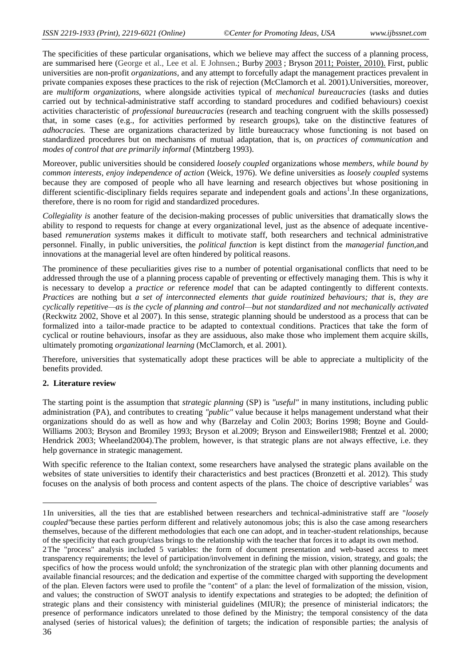The specificities of these particular organisations, which we believe may affect the success of a planning process, are summarised here (George et al., Lee et al. E Johnsen.; Burby [2003](https://www.tandfonline.com/doi/full/10.1080/14719037.2017.1285111?src=) ; Bryson [2011;](https://www.tandfonline.com/doi/full/10.1080/14719037.2017.1285111?src=) Poister, 2010). First, public universities are non-profit *organizations,* and any attempt to forcefully adapt the management practices prevalent in private companies exposes these practices to the risk of rejection (McClamorch et al. 2001).Universities, moreover, are *multiform organizations*, where alongside activities typical of *mechanical bureaucracies* (tasks and duties carried out by technical-administrative staff according to standard procedures and codified behaviours) coexist activities characteristic of *professional bureaucracies* (research and teaching congruent with the skills possessed) that, in some cases (e.g., for activities performed by research groups), take on the distinctive features of *adhocracies.* These are organizations characterized by little bureaucracy whose functioning is not based on standardized procedures but on mechanisms of mutual adaptation, that is, on *practices of communication* and *modes of control that are primarily informal* (Mintzberg 1993).

Moreover, public universities should be considered *loosely coupled* organizations whose *members, while bound by common interests, enjoy independence of action* (Weick, 1976). We define universities as *loosely coupled* systems because they are composed of people who all have learning and research objectives but whose positioning in different scientific-disciplinary fields requires separate and independent goals and actions<sup>1</sup>. In these organizations, therefore, there is no room for rigid and standardized procedures.

*Collegiality is* another feature of the decision-making processes of public universities that dramatically slows the ability to respond to requests for change at every organizational level, just as the absence of adequate incentivebased *remuneration systems* makes it difficult to motivate staff, both researchers and technical administrative personnel. Finally, in public universities, the *political function* is kept distinct from the *managerial function*,and innovations at the managerial level are often hindered by political reasons.

The prominence of these peculiarities gives rise to a number of potential organisational conflicts that need to be addressed through the use of a planning process capable of preventing or effectively managing them. This is why it is necessary to develop a *practice or* reference *model* that can be adapted contingently to different contexts. *Practices* are nothing but *a set of interconnected elements that guide routinized behaviours; that is, they are cyclically repetitive—as is the cycle of planning and control—but not standardized and not mechanically activated*  (Reckwitz 2002, Shove et al 2007). In this sense, strategic planning should be understood as a process that can be formalized into a tailor-made practice to be adapted to contextual conditions. Practices that take the form of cyclical or routine behaviours, insofar as they are assiduous, also make those who implement them acquire skills, ultimately promoting *organizational learning* (McClamorch, et al. 2001).

Therefore, universities that systematically adopt these practices will be able to appreciate a multiplicity of the benefits provided.

#### **2. Literature review**

-

The starting point is the assumption that *strategic planning* (SP) is *"useful"* in many institutions, including public administration (PA), and contributes to creating *"public"* value because it helps management understand what their organizations should do as well as how and why (Barzelay and Colin 2003; Borins 1998; Boyne and Gould-Williams 2003; Bryson and Bromiley 1993; Bryson et al.2009; Bryson and Einsweiler1988; Frentzel et al. 2000; Hendrick 2003; Wheeland2004).The problem, however, is that strategic plans are not always effective, i.e. they help governance in strategic management.

With specific reference to the Italian context, some researchers have analysed the strategic plans available on the websites of state universities to identify their characteristics and best practices (Bronzetti et al. 2012). This study focuses on the analysis of both process and content aspects of the plans. The choice of descriptive variables<sup>2</sup> was

<sup>1</sup>In universities, all the ties that are established between researchers and technical-administrative staff are "*loosely coupled"*because these parties perform different and relatively autonomous jobs; this is also the case among researchers themselves, because of the different methodologies that each one can adopt, and in teacher-student relationships, because of the specificity that each group/class brings to the relationship with the teacher that forces it to adapt its own method.

<sup>36</sup> 2The "process" analysis included 5 variables: the form of document presentation and web-based access to meet transparency requirements; the level of participation/involvement in defining the mission, vision, strategy, and goals; the specifics of how the process would unfold; the synchronization of the strategic plan with other planning documents and available financial resources; and the dedication and expertise of the committee charged with supporting the development of the plan. Eleven factors were used to profile the "content" of a plan: the level of formalization of the mission, vision, and values; the construction of SWOT analysis to identify expectations and strategies to be adopted; the definition of strategic plans and their consistency with ministerial guidelines (MIUR); the presence of ministerial indicators; the presence of performance indicators unrelated to those defined by the Ministry; the temporal consistency of the data analysed (series of historical values); the definition of targets; the indication of responsible parties; the analysis of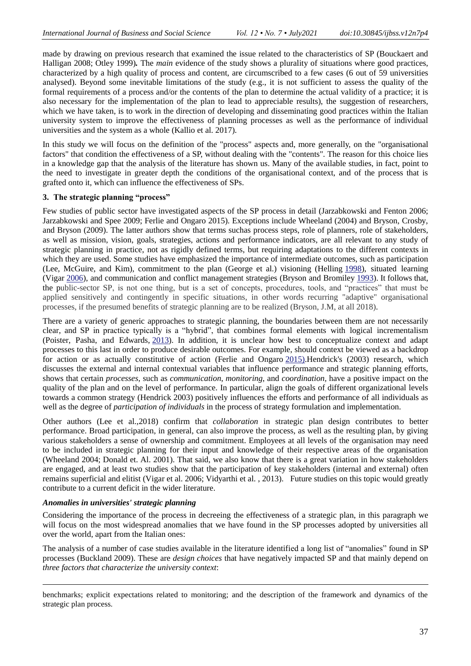made by drawing on previous research that examined the issue related to the characteristics of SP (Bouckaert and Halligan 2008; Otley 1999)*.* The *main* evidence of the study shows a plurality of situations where good practices, characterized by a high quality of process and content, are circumscribed to a few cases (6 out of 59 universities analysed). Beyond some inevitable limitations of the study (e.g., it is not sufficient to assess the quality of the formal requirements of a process and/or the contents of the plan to determine the actual validity of a practice; it is also necessary for the implementation of the plan to lead to appreciable results), the suggestion of researchers, which we have taken, is to work in the direction of developing and disseminating good practices within the Italian university system to improve the effectiveness of planning processes as well as the performance of individual universities and the system as a whole (Kallio et al. 2017).

In this study we will focus on the definition of the "process" aspects and, more generally, on the "organisational factors" that condition the effectiveness of a SP, without dealing with the "contents". The reason for this choice lies in a knowledge gap that the analysis of the literature has shown us. Many of the available studies, in fact, point to the need to investigate in greater depth the conditions of the organisational context, and of the process that is grafted onto it, which can influence the effectiveness of SPs.

## **3. The strategic planning "process"**

Few studies of public sector have investigated aspects of the SP process in detail (Jarzabkowski and Fenton 2006; Jarzabkowski and Spee 2009; Ferlie and Ongaro 2015). Exceptions include Wheeland (2004) and Bryson, Crosby, and Bryson (2009). The latter authors show that terms suchas process steps, role of planners, role of stakeholders, as well as mission, vision, goals, strategies, actions and performance indicators, are all relevant to any study of strategic planning in practice, not as rigidly defined terms, but requiring adaptations to the different contexts in which they are used. Some studies have emphasized the importance of intermediate outcomes, such as participation (Lee, McGuire, and Kim), commitment to the plan (George et al.) visioning (Helling [1998\)](https://www.tandfonline.com/doi/full/10.1080/14719037.2017.1285111?src=), situated learning (Vigar [2006\)](https://www.tandfonline.com/doi/full/10.1080/14719037.2017.1285111?src=), and communication and conflict management strategies (Bryson and Bromiley [1993\)](https://www.tandfonline.com/doi/full/10.1080/14719037.2017.1285111?src=). It follows that, the public-sector SP, is not one thing, but is a set of concepts, procedures, tools, and "practices" that must be applied sensitively and contingently in specific situations, in other words recurring "adaptive" organisational processes, if the presumed benefits of strategic planning are to be realized (Bryson, J.M, at all 2018).

There are a variety of generic approaches to strategic planning, the boundaries between them are not necessarily clear, and SP in practice typically is a "hybrid", that combines formal elements with logical incrementalism (Poister, Pasha, and Edwards, [2013\)](https://www.tandfonline.com/doi/full/10.1080/14719037.2017.1285111?src=). In addition, it is unclear how best to conceptualize context and adapt processes to this last in order to produce desirable outcomes. For example, should context be viewed as a backdrop for action or as actually constitutive of action (Ferlie and Ongaro [2015\)](https://www.tandfonline.com/doi/full/10.1080/14719037.2017.1285111?src=).Hendrick's (2003) research, which discusses the external and internal contextual variables that influence performance and strategic planning efforts, shows that certain *processes,* such as *communication*, *monitoring*, and *coordination,* have a positive impact on the quality of the plan and on the level of performance. In particular, align the goals of different organizational levels towards a common strategy (Hendrick 2003) positively influences the efforts and performance of all individuals as well as the degree of *participation of individuals* in the process of strategy formulation and implementation.

Other authors (Lee et al.,2018) confirm that *collaboration* in strategic plan design contributes to better performance. Broad participation, in general, can also improve the process, as well as the resulting plan, by giving various stakeholders a sense of ownership and commitment. Employees at all levels of the organisation may need to be included in strategic planning for their input and knowledge of their respective areas of the organisation (Wheeland 2004; Donald et. Al. 2001). That said, we also know that there is a great variation in how stakeholders are engaged, and at least two studies show that the participation of key stakeholders (internal and external) often remains superficial and elitist (Vigar et al. 2006; Vidyarthi et al. , 2013). Future studies on this topic would greatly contribute to a current deficit in the wider literature.

#### *Anomalies in universities' strategic planning*

-

Considering the importance of the process in decreeing the effectiveness of a strategic plan, in this paragraph we will focus on the most widespread anomalies that we have found in the SP processes adopted by universities all over the world, apart from the Italian ones:

The analysis of a number of case studies available in the literature identified a long list of "anomalies" found in SP processes (Buckland 2009). These are *design choices* that have negatively impacted SP and that mainly depend on *three factors that characterize the university context*:

benchmarks; explicit expectations related to monitoring; and the description of the framework and dynamics of the strategic plan process.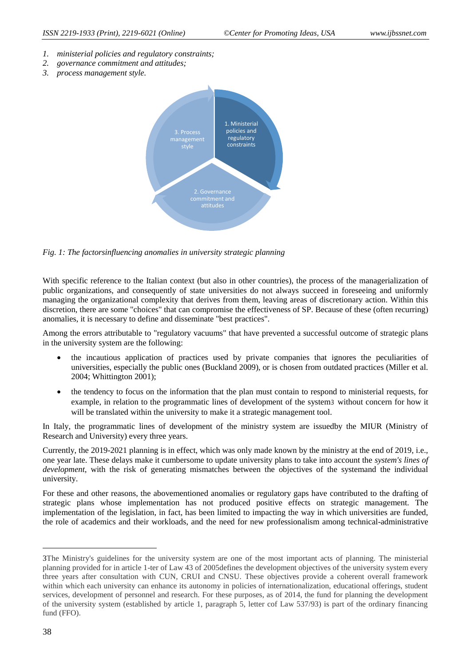- *1. ministerial policies and regulatory constraints;*
- *2. governance commitment and attitudes;*
- *3. process management style.*



*Fig. 1: The factorsinfluencing anomalies in university strategic planning*

With specific reference to the Italian context (but also in other countries), the process of the managerialization of public organizations, and consequently of state universities do not always succeed in foreseeing and uniformly managing the organizational complexity that derives from them, leaving areas of discretionary action. Within this discretion, there are some "choices" that can compromise the effectiveness of SP. Because of these (often recurring) anomalies, it is necessary to define and disseminate "best practices".

Among the errors attributable to "regulatory vacuums" that have prevented a successful outcome of strategic plans in the university system are the following:

- the incautious application of practices used by private companies that ignores the peculiarities of universities, especially the public ones (Buckland 2009), or is chosen from outdated practices (Miller et al. 2004; Whittington 2001);
- the tendency to focus on the information that the plan must contain to respond to ministerial requests, for example, in relation to the programmatic lines of development of the system3 without concern for how it will be translated within the university to make it a strategic management tool.

In Italy, the programmatic lines of development of the ministry system are issuedby the MIUR (Ministry of Research and University) every three years.

Currently, the 2019-2021 planning is in effect, which was only made known by the ministry at the end of 2019, i.e., one year late. These delays make it cumbersome to update university plans to take into account the *system's lines of development*, with the risk of generating mismatches between the objectives of the systemand the individual university.

For these and other reasons, the abovementioned anomalies or regulatory gaps have contributed to the drafting of strategic plans whose implementation has not produced positive effects on strategic management. The implementation of the legislation, in fact, has been limited to impacting the way in which universities are funded, the role of academics and their workloads, and the need for new professionalism among technical-administrative

-

<sup>3</sup>The Ministry's guidelines for the university system are one of the most important acts of planning. The ministerial planning provided for in article 1-ter of Law 43 of 2005defines the development objectives of the university system every three years after consultation with CUN, CRUI and CNSU. These objectives provide a coherent overall framework within which each university can enhance its autonomy in policies of internationalization, educational offerings, student services, development of personnel and research. For these purposes, as of 2014, the fund for planning the development of the university system (established by article 1, paragraph 5, letter cof Law 537/93) is part of the ordinary financing fund (FFO).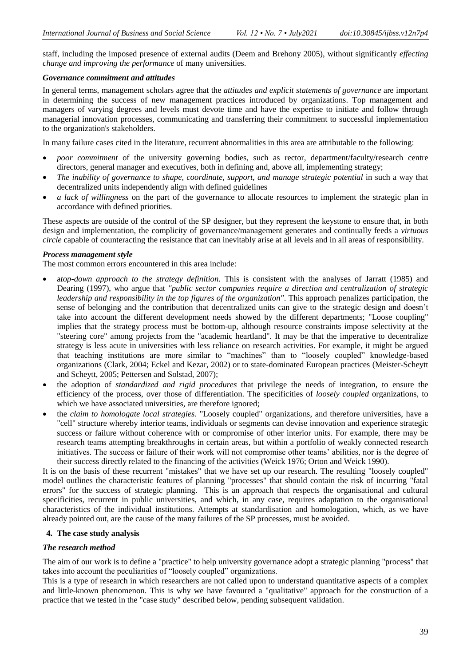staff, including the imposed presence of external audits (Deem and Brehony 2005), without significantly *effecting change and improving the performance* of many universities.

#### *Governance commitment and attitudes*

In general terms, management scholars agree that the *attitudes and explicit statements of governance* are important in determining the success of new management practices introduced by organizations. Top management and managers of varying degrees and levels must devote time and have the expertise to initiate and follow through managerial innovation processes, communicating and transferring their commitment to successful implementation to the organization's stakeholders.

In many failure cases cited in the literature, recurrent abnormalities in this area are attributable to the following:

- *poor commitment* of the university governing bodies, such as rector, department/faculty/research centre directors, general manager and executives, both in defining and, above all, implementing strategy;
- *The inability of governance to shape, coordinate, support, and manage strategic potential* in such a way that decentralized units independently align with defined guidelines
- *a lack of willingness* on the part of the governance to allocate resources to implement the strategic plan in accordance with defined priorities.

These aspects are outside of the control of the SP designer, but they represent the keystone to ensure that, in both design and implementation, the complicity of governance/management generates and continually feeds a *virtuous circle* capable of counteracting the resistance that can inevitably arise at all levels and in all areas of responsibility.

#### *Process management style*

The most common errors encountered in this area include:

- a*top-down approach to the strategy definition*. This is consistent with the analyses of Jarratt (1985) and Dearing (1997), who argue that *"public sector companies require a direction and centralization of strategic leadership and responsibility in the top figures of the organization"*. This approach penalizes participation, the sense of belonging and the contribution that decentralized units can give to the strategic design and doesn't take into account the different development needs showed by the different departments; "Loose coupling" implies that the strategy process must be bottom-up, although resource constraints impose selectivity at the "steering core" among projects from the "academic heartland". It may be that the imperative to decentralize strategy is less acute in universities with less reliance on research activities. For example, it might be argued that teaching institutions are more similar to "machines" than to "loosely coupled" knowledge-based organizations (Clark, 2004; Eckel and Kezar, 2002) or to state-dominated European practices (Meister-Scheytt and Scheytt, 2005; Pettersen and Solstad, 2007);
- the adoption of *standardized and rigid procedures* that privilege the needs of integration, to ensure the efficiency of the process, over those of differentiation. The specificities of *loosely coupled* organizations*,* to which we have associated universities*,* are therefore ignored;
- the *claim to homologate local strategies*. "Loosely coupled" organizations, and therefore universities, have a "cell" structure whereby interior teams, individuals or segments can devise innovation and experience strategic success or failure without coherence with or compromise of other interior units. For example, there may be research teams attempting breakthroughs in certain areas, but within a portfolio of weakly connected research initiatives. The success or failure of their work will not compromise other teams' abilities, nor is the degree of their success directly related to the financing of the activities (Weick 1976; Orton and Weick 1990).

It is on the basis of these recurrent "mistakes" that we have set up our research. The resulting "loosely coupled" model outlines the characteristic features of planning "processes" that should contain the risk of incurring "fatal errors" for the success of strategic planning. This is an approach that respects the organisational and cultural specificities, recurrent in public universities, and which, in any case, requires adaptation to the organisational characteristics of the individual institutions. Attempts at standardisation and homologation, which, as we have already pointed out, are the cause of the many failures of the SP processes, must be avoided.

#### **4. The case study analysis**

#### *The research method*

The aim of our work is to define a "practice" to help university governance adopt a strategic planning "process" that takes into account the peculiarities of "loosely coupled" organizations.

This is a type of research in which researchers are not called upon to understand quantitative aspects of a complex and little-known phenomenon. This is why we have favoured a "qualitative" approach for the construction of a practice that we tested in the "case study" described below, pending subsequent validation.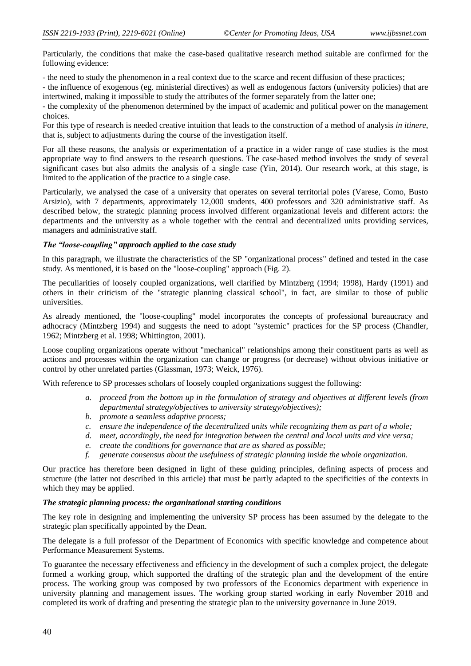Particularly, the conditions that make the case-based qualitative research method suitable are confirmed for the following evidence:

- the need to study the phenomenon in a real context due to the scarce and recent diffusion of these practices;

- the influence of exogenous (eg. ministerial directives) as well as endogenous factors (university policies) that are intertwined, making it impossible to study the attributes of the former separately from the latter one;

- the complexity of the phenomenon determined by the impact of academic and political power on the management choices.

For this type of research is needed creative intuition that leads to the construction of a method of analysis *in itinere*, that is, subject to adjustments during the course of the investigation itself.

For all these reasons, the analysis or experimentation of a practice in a wider range of case studies is the most appropriate way to find answers to the research questions. The case-based method involves the study of several significant cases but also admits the analysis of a single case (Yin, 2014). Our research work, at this stage, is limited to the application of the practice to a single case.

Particularly, we analysed the case of a university that operates on several territorial poles (Varese, Como, Busto Arsizio), with 7 departments, approximately 12,000 students, 400 professors and 320 administrative staff. As described below, the strategic planning process involved different organizational levels and different actors: the departments and the university as a whole together with the central and decentralized units providing services, managers and administrative staff.

## *The "loose-coupling" approach applied to the case study*

In this paragraph, we illustrate the characteristics of the SP "organizational process" defined and tested in the case study. As mentioned, it is based on the "loose-coupling" approach (Fig. 2).

The peculiarities of loosely coupled organizations, well clarified by Mintzberg (1994; 1998), Hardy (1991) and others in their criticism of the "strategic planning classical school", in fact, are similar to those of public universities.

As already mentioned, the "loose-coupling" model incorporates the concepts of professional bureaucracy and adhocracy (Mintzberg 1994) and suggests the need to adopt "systemic" practices for the SP process (Chandler, 1962; Mintzberg et al. 1998; Whittington, 2001).

Loose coupling organizations operate without "mechanical" relationships among their constituent parts as well as actions and processes within the organization can change or progress (or decrease) without obvious initiative or control by other unrelated parties (Glassman, 1973; Weick, 1976).

With reference to SP processes scholars of loosely coupled organizations suggest the following:

- *a. proceed from the bottom up in the formulation of strategy and objectives at different levels (from departmental strategy/objectives to university strategy/objectives);*
- *b. promote a seamless adaptive process;*
- *c. ensure the independence of the decentralized units while recognizing them as part of a whole;*
- *d. meet, accordingly, the need for integration between the central and local units and vice versa;*
- *e. create the conditions for governance that are as shared as possible;*
- *f. generate consensus about the usefulness of strategic planning inside the whole organization.*

Our practice has therefore been designed in light of these guiding principles, defining aspects of process and structure (the latter not described in this article) that must be partly adapted to the specificities of the contexts in which they may be applied.

#### *The strategic planning process: the organizational starting conditions*

The key role in designing and implementing the university SP process has been assumed by the delegate to the strategic plan specifically appointed by the Dean.

The delegate is a full professor of the Department of Economics with specific knowledge and competence about Performance Measurement Systems.

To guarantee the necessary effectiveness and efficiency in the development of such a complex project, the delegate formed a working group, which supported the drafting of the strategic plan and the development of the entire process. The working group was composed by two professors of the Economics department with experience in university planning and management issues. The working group started working in early November 2018 and completed its work of drafting and presenting the strategic plan to the university governance in June 2019.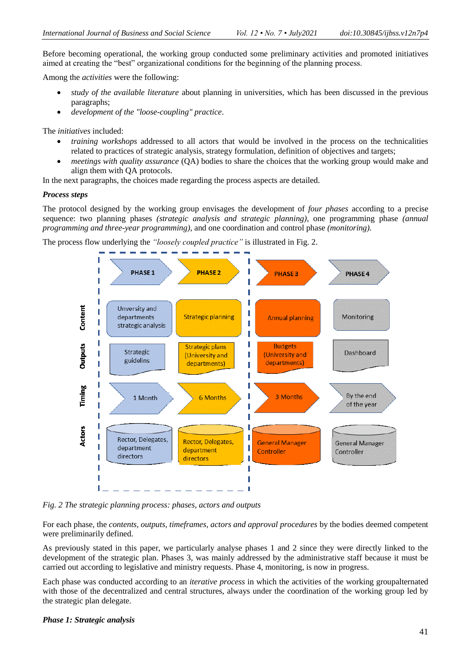Before becoming operational, the working group conducted some preliminary activities and promoted initiatives aimed at creating the "best" organizational conditions for the beginning of the planning process.

Among the *activities* were the following:

- *study of the available literature* about planning in universities, which has been discussed in the previous paragraphs;
- *development of the "loose-coupling" practice*.

The *initiatives* included:

- *training workshops* addressed to all actors that would be involved in the process on the technicalities related to practices of strategic analysis, strategy formulation, definition of objectives and targets;
- *meetings with quality assurance* (QA) bodies to share the choices that the working group would make and align them with QA protocols.

In the next paragraphs, the choices made regarding the process aspects are detailed.

#### *Process steps*

The protocol designed by the working group envisages the development of *four phases* according to a precise sequence: two planning phases *(strategic analysis and strategic planning)*, one programming phase *(annual programming and three-year programming)*, and one coordination and control phase *(monitoring).*

The process flow underlying the *"loosely coupled practice"* is illustrated in Fig. 2.



*Fig. 2 The strategic planning process: phases, actors and outputs*

For each phase, the *contents, outputs, timeframes, actors and approval procedures* by the bodies deemed competent were preliminarily defined.

As previously stated in this paper, we particularly analyse phases 1 and 2 since they were directly linked to the development of the strategic plan. Phases 3, was mainly addressed by the administrative staff because it must be carried out according to legislative and ministry requests. Phase 4, monitoring, is now in progress.

Each phase was conducted according to an *iterative process* in which the activities of the working groupalternated with those of the decentralized and central structures, always under the coordination of the working group led by the strategic plan delegate.

#### *Phase 1: Strategic analysis*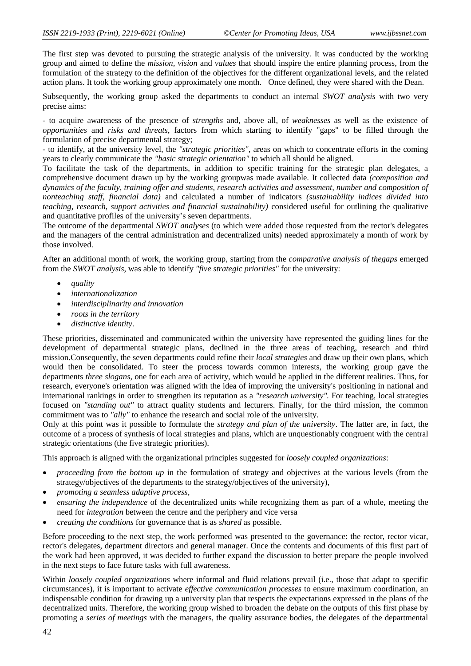The first step was devoted to pursuing the strategic analysis of the university. It was conducted by the working group and aimed to define the *mission, vision* and *values* that should inspire the entire planning process, from the formulation of the strategy to the definition of the objectives for the different organizational levels, and the related action plans. It took the working group approximately one month. Once defined, they were shared with the Dean.

Subsequently, the working group asked the departments to conduct an internal *SWOT analysis* with two very precise aims:

- to acquire awareness of the presence of *strengths* and, above all, of *weaknesses* as well as the existence of *opportunities* and *risks and threats*, factors from which starting to identify "gaps" to be filled through the formulation of precise departmental strategy;

- to identify, at the university level, the *"strategic priorities",* areas on which to concentrate efforts in the coming years to clearly communicate the *"basic strategic orientation"* to which all should be aligned.

To facilitate the task of the departments, in addition to specific training for the strategic plan delegates, a comprehensive document drawn up by the working groupwas made available. It collected data *(composition and dynamics of the faculty, training offer and students, research activities and assessment, number and composition of nonteaching staff, financial data)* and calculated a number of indicators *(sustainability indices divided into teaching, research, support activities and financial sustainability)* considered useful for outlining the qualitative and quantitative profiles of the university's seven departments.

The outcome of the departmental *SWOT analyses* (to which were added those requested from the rector's delegates and the managers of the central administration and decentralized units) needed approximately a month of work by those involved.

After an additional month of work, the working group, starting from the *comparative analysis of thegaps* emerged from the *SWOT analysis*, was able to identify *"five strategic priorities"* for the university:

- *quality*
- *internationalization*
- *interdisciplinarity and innovation*
- *roots in the territory*
- *distinctive identity*.

These priorities, disseminated and communicated within the university have represented the guiding lines for the development of departmental strategic plans, declined in the three areas of teaching, research and third mission.Consequently, the seven departments could refine their *local strategies* and draw up their own plans, which would then be consolidated. To steer the process towards common interests, the working group gave the departments *three slogans*, one for each area of activity, which would be applied in the different realities. Thus, for research, everyone's orientation was aligned with the idea of improving the university's positioning in national and international rankings in order to strengthen its reputation as a *"research university".* For teaching, local strategies focused on *"standing out"* to attract quality students and lecturers. Finally, for the third mission, the common commitment was to *"ally"* to enhance the research and social role of the university.

Only at this point was it possible to formulate the *strategy and plan of the university*. The latter are, in fact, the outcome of a process of synthesis of local strategies and plans, which are unquestionably congruent with the central strategic orientations (the five strategic priorities).

This approach is aligned with the organizational principles suggested for *loosely coupled organizations*:

- *proceeding from the bottom up* in the formulation of strategy and objectives at the various levels (from the strategy/objectives of the departments to the strategy/objectives of the university),
- *promoting a seamless adaptive process*,
- *ensuring the independence* of the decentralized units while recognizing them as part of a whole, meeting the need for *integration* between the centre and the periphery and vice versa
- *creating the conditions* for governance that is as *shared* as possible.

Before proceeding to the next step, the work performed was presented to the governance: the rector, rector vicar, rector's delegates, department directors and general manager. Once the contents and documents of this first part of the work had been approved, it was decided to further expand the discussion to better prepare the people involved in the next steps to face future tasks with full awareness.

Within *loosely coupled organizations* where informal and fluid relations prevail (i.e., those that adapt to specific circumstances), it is important to activate *effective communication processes* to ensure maximum coordination, an indispensable condition for drawing up a university plan that respects the expectations expressed in the plans of the decentralized units. Therefore, the working group wished to broaden the debate on the outputs of this first phase by promoting a *series of meetings* with the managers, the quality assurance bodies, the delegates of the departmental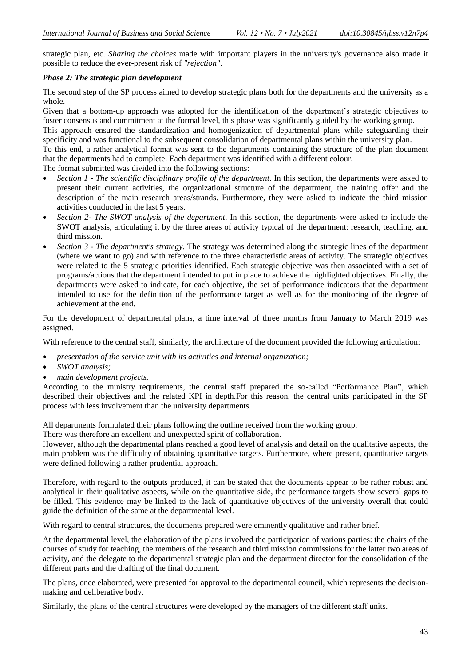strategic plan, etc. *Sharing the choices* made with important players in the university's governance also made it possible to reduce the ever-present risk of *"rejection"*.

#### *Phase 2: The strategic plan development*

The second step of the SP process aimed to develop strategic plans both for the departments and the university as a whole.

Given that a bottom-up approach was adopted for the identification of the department's strategic objectives to foster consensus and commitment at the formal level, this phase was significantly guided by the working group.

This approach ensured the standardization and homogenization of departmental plans while safeguarding their specificity and was functional to the subsequent consolidation of departmental plans within the university plan.

To this end, a rather analytical format was sent to the departments containing the structure of the plan document that the departments had to complete. Each department was identified with a different colour.

The format submitted was divided into the following sections:

- *Section 1 - The scientific disciplinary profile of the department*. In this section, the departments were asked to present their current activities, the organizational structure of the department, the training offer and the description of the main research areas/strands. Furthermore, they were asked to indicate the third mission activities conducted in the last 5 years.
- *Section 2- The SWOT analysis of the department*. In this section, the departments were asked to include the SWOT analysis, articulating it by the three areas of activity typical of the department: research, teaching, and third mission.
- *Section 3 - The department's strategy*. The strategy was determined along the strategic lines of the department (where we want to go) and with reference to the three characteristic areas of activity. The strategic objectives were related to the 5 strategic priorities identified. Each strategic objective was then associated with a set of programs/actions that the department intended to put in place to achieve the highlighted objectives. Finally, the departments were asked to indicate, for each objective, the set of performance indicators that the department intended to use for the definition of the performance target as well as for the monitoring of the degree of achievement at the end.

For the development of departmental plans, a time interval of three months from January to March 2019 was assigned.

With reference to the central staff, similarly, the architecture of the document provided the following articulation:

- *presentation of the service unit with its activities and internal organization;*
- *SWOT analysis;*
- *main development projects.*

According to the ministry requirements, the central staff prepared the so-called "Performance Plan", which described their objectives and the related KPI in depth.For this reason, the central units participated in the SP process with less involvement than the university departments.

All departments formulated their plans following the outline received from the working group.

There was therefore an excellent and unexpected spirit of collaboration.

However, although the departmental plans reached a good level of analysis and detail on the qualitative aspects, the main problem was the difficulty of obtaining quantitative targets. Furthermore, where present, quantitative targets were defined following a rather prudential approach.

Therefore, with regard to the outputs produced, it can be stated that the documents appear to be rather robust and analytical in their qualitative aspects, while on the quantitative side, the performance targets show several gaps to be filled. This evidence may be linked to the lack of quantitative objectives of the university overall that could guide the definition of the same at the departmental level.

With regard to central structures, the documents prepared were eminently qualitative and rather brief.

At the departmental level, the elaboration of the plans involved the participation of various parties: the chairs of the courses of study for teaching, the members of the research and third mission commissions for the latter two areas of activity, and the delegate to the departmental strategic plan and the department director for the consolidation of the different parts and the drafting of the final document.

The plans, once elaborated, were presented for approval to the departmental council, which represents the decisionmaking and deliberative body.

Similarly, the plans of the central structures were developed by the managers of the different staff units.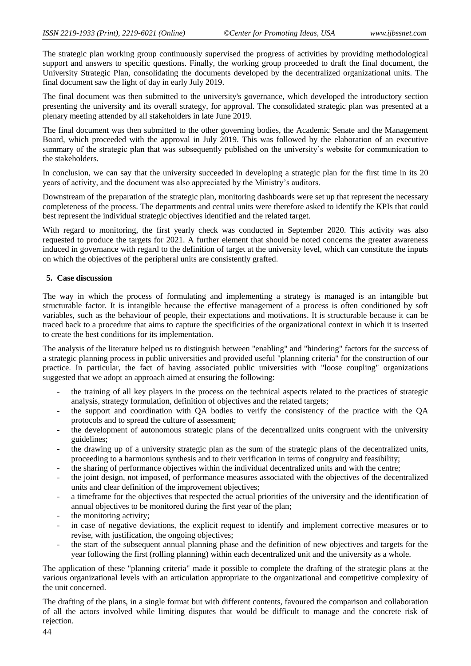The strategic plan working group continuously supervised the progress of activities by providing methodological support and answers to specific questions. Finally, the working group proceeded to draft the final document, the University Strategic Plan, consolidating the documents developed by the decentralized organizational units. The final document saw the light of day in early July 2019.

The final document was then submitted to the university's governance, which developed the introductory section presenting the university and its overall strategy, for approval. The consolidated strategic plan was presented at a plenary meeting attended by all stakeholders in late June 2019.

The final document was then submitted to the other governing bodies, the Academic Senate and the Management Board, which proceeded with the approval in July 2019. This was followed by the elaboration of an executive summary of the strategic plan that was subsequently published on the university's website for communication to the stakeholders.

In conclusion, we can say that the university succeeded in developing a strategic plan for the first time in its 20 years of activity, and the document was also appreciated by the Ministry's auditors.

Downstream of the preparation of the strategic plan, monitoring dashboards were set up that represent the necessary completeness of the process. The departments and central units were therefore asked to identify the KPIs that could best represent the individual strategic objectives identified and the related target.

With regard to monitoring, the first yearly check was conducted in September 2020. This activity was also requested to produce the targets for 2021. A further element that should be noted concerns the greater awareness induced in governance with regard to the definition of target at the university level, which can constitute the inputs on which the objectives of the peripheral units are consistently grafted.

#### **5. Case discussion**

The way in which the process of formulating and implementing a strategy is managed is an intangible but structurable factor. It is intangible because the effective management of a process is often conditioned by soft variables, such as the behaviour of people, their expectations and motivations. It is structurable because it can be traced back to a procedure that aims to capture the specificities of the organizational context in which it is inserted to create the best conditions for its implementation.

The analysis of the literature helped us to distinguish between "enabling" and "hindering" factors for the success of a strategic planning process in public universities and provided useful "planning criteria" for the construction of our practice. In particular, the fact of having associated public universities with "loose coupling" organizations suggested that we adopt an approach aimed at ensuring the following:

- the training of all key players in the process on the technical aspects related to the practices of strategic analysis, strategy formulation, definition of objectives and the related targets;
- the support and coordination with QA bodies to verify the consistency of the practice with the QA protocols and to spread the culture of assessment;
- the development of autonomous strategic plans of the decentralized units congruent with the university guidelines;
- the drawing up of a university strategic plan as the sum of the strategic plans of the decentralized units, proceeding to a harmonious synthesis and to their verification in terms of congruity and feasibility;
- the sharing of performance objectives within the individual decentralized units and with the centre;
- the joint design, not imposed, of performance measures associated with the objectives of the decentralized units and clear definition of the improvement objectives;
- a timeframe for the objectives that respected the actual priorities of the university and the identification of annual objectives to be monitored during the first year of the plan;
- the monitoring activity:
- in case of negative deviations, the explicit request to identify and implement corrective measures or to revise, with justification, the ongoing objectives;
- the start of the subsequent annual planning phase and the definition of new objectives and targets for the year following the first (rolling planning) within each decentralized unit and the university as a whole.

The application of these "planning criteria" made it possible to complete the drafting of the strategic plans at the various organizational levels with an articulation appropriate to the organizational and competitive complexity of the unit concerned.

The drafting of the plans, in a single format but with different contents, favoured the comparison and collaboration of all the actors involved while limiting disputes that would be difficult to manage and the concrete risk of rejection.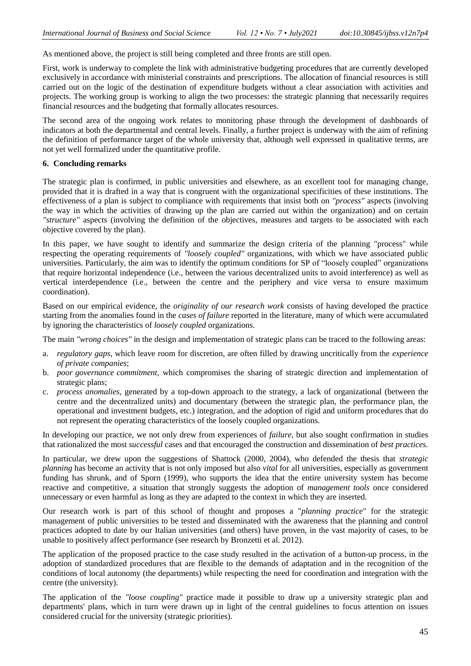As mentioned above, the project is still being completed and three fronts are still open.

First, work is underway to complete the link with administrative budgeting procedures that are currently developed exclusively in accordance with ministerial constraints and prescriptions. The allocation of financial resources is still carried out on the logic of the destination of expenditure budgets without a clear association with activities and projects. The working group is working to align the two processes: the strategic planning that necessarily requires financial resources and the budgeting that formally allocates resources.

The second area of the ongoing work relates to monitoring phase through the development of dashboards of indicators at both the departmental and central levels. Finally, a further project is underway with the aim of refining the definition of performance target of the whole university that, although well expressed in qualitative terms, are not yet well formalized under the quantitative profile.

#### **6. Concluding remarks**

The strategic plan is confirmed, in public universities and elsewhere, as an excellent tool for managing change, provided that it is drafted in a way that is congruent with the organizational specificities of these institutions. The effectiveness of a plan is subject to compliance with requirements that insist both on *"process"* aspects (involving the way in which the activities of drawing up the plan are carried out within the organization) and on certain *"structure"* aspects (involving the definition of the objectives, measures and targets to be associated with each objective covered by the plan).

In this paper, we have sought to identify and summarize the design criteria of the planning "process" while respecting the operating requirements of *"loosely coupled"* organizations, with which we have associated public universities. Particularly, the aim was to identify the optimum conditions for SP of "loosely coupled" organizations that require horizontal independence (i.e., between the various decentralized units to avoid interference) as well as vertical interdependence (i.e., between the centre and the periphery and vice versa to ensure maximum coordination).

Based on our empirical evidence, the *originality of our research work* consists of having developed the practice starting from the anomalies found in the *cases of failure* reported in the literature, many of which were accumulated by ignoring the characteristics of *loosely coupled* organizations.

The main *"wrong choices"* in the design and implementation of strategic plans can be traced to the following areas:

- a. *regulatory gaps*, which leave room for discretion, are often filled by drawing uncritically from the *experience of private companies*;
- b. *poor governance commitment*, which compromises the sharing of strategic direction and implementation of strategic plans;
- c. *process anomalies,* generated by a top-down approach to the strategy, a lack of organizational (between the centre and the decentralized units) and documentary (between the strategic plan, the performance plan, the operational and investment budgets, etc.) integration, and the adoption of rigid and uniform procedures that do not represent the operating characteristics of the loosely coupled organizations.

In developing our practice, we not only drew from experiences of *failure*, but also sought confirmation in studies that rationalized the most *successful* cases and that encouraged the construction and dissemination of *best practices*.

In particular, we drew upon the suggestions of Shattock (2000, 2004), who defended the thesis that *strategic planning* has become an activity that is not only imposed but also *vital* for all universities, especially as government funding has shrunk, and of Sporn (1999), who supports the idea that the entire university system has become reactive and competitive, a situation that strongly suggests the adoption of *management tools* once considered unnecessary or even harmful as long as they are adapted to the context in which they are inserted.

Our research work is part of this school of thought and proposes a "*planning practice*" for the strategic management of public universities to be tested and disseminated with the awareness that the planning and control practices adopted to date by our Italian universities (and others) have proven, in the vast majority of cases, to be unable to positively affect performance (see research by Bronzetti et al. 2012).

The application of the proposed practice to the case study resulted in the activation of a button-up process, in the adoption of standardized procedures that are flexible to the demands of adaptation and in the recognition of the conditions of local autonomy (the departments) while respecting the need for coordination and integration with the centre (the university).

The application of the *"loose coupling"* practice made it possible to draw up a university strategic plan and departments' plans, which in turn were drawn up in light of the central guidelines to focus attention on issues considered crucial for the university (strategic priorities).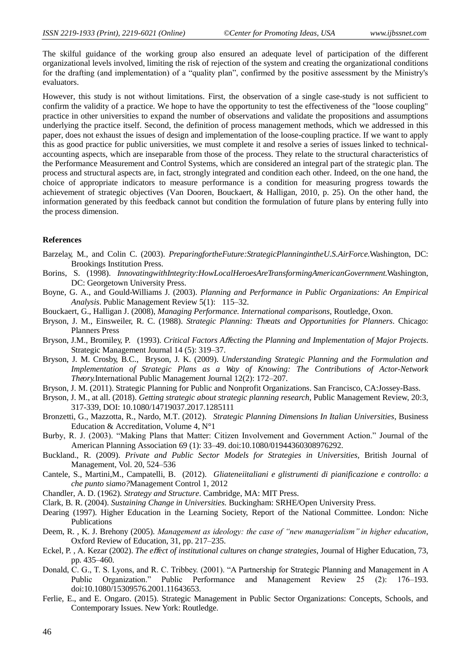The skilful guidance of the working group also ensured an adequate level of participation of the different organizational levels involved, limiting the risk of rejection of the system and creating the organizational conditions for the drafting (and implementation) of a "quality plan", confirmed by the positive assessment by the Ministry's evaluators.

However, this study is not without limitations. First, the observation of a single case-study is not sufficient to confirm the validity of a practice. We hope to have the opportunity to test the effectiveness of the "loose coupling" practice in other universities to expand the number of observations and validate the propositions and assumptions underlying the practice itself. Second, the definition of process management methods, which we addressed in this paper, does not exhaust the issues of design and implementation of the loose-coupling practice. If we want to apply this as good practice for public universities, we must complete it and resolve a series of issues linked to technicalaccounting aspects, which are inseparable from those of the process. They relate to the structural characteristics of the Performance Measurement and Control Systems, which are considered an integral part of the strategic plan. The process and structural aspects are, in fact, strongly integrated and condition each other. Indeed, on the one hand, the choice of appropriate indicators to measure performance is a condition for measuring progress towards the achievement of strategic objectives (Van Dooren, Bouckaert, & Halligan, 2010, p. 25). On the other hand, the information generated by this feedback cannot but condition the formulation of future plans by entering fully into the process dimension.

#### **References**

- Barzelay, M., and Colin C. (2003). *PreparingfortheFuture:StrategicPlanningintheU.S.AirForce.*Washington, DC: Brookings Institution Press.
- Borins, S. (1998). *InnovatingwithIntegrity:HowLocalHeroesAreTransformingAmericanGovernment.*Washington, DC: Georgetown University Press.
- Boyne, G. A., and Gould-Williams J. (2003). *Planning and Performance in Public Organizations: An Empirical Analysis*. Public Management Review 5(1): 115–32.
- Bouckaert, G., Halligan J. (2008), *Managing Performance. International comparisons,* Routledge, Oxon.
- Bryson, J. M., Einsweiler, R. C. (1988). *Strategic Planning: Threats and Opportunities for Planners*. Chicago: Planners Press
- Bryson, J.M., Bromiley, P. (1993). *Critical Factors A*ff*ecting the Planning and Implementation of Major Projects*. Strategic Management Journal 14 (5): 319–37.
- Bryson, J. M. Crosby, B.C., Bryson, J. K. (2009). *Understanding Strategic Planning and the Formulation and Implementation of Strategic Plans as a Way of Knowing: The Contributions of Actor-Network Theory.*International Public Management Journal 12(2): 172–207.
- Bryson, J. M. (2011). Strategic Planning for Public and Nonprofit Organizations. San Francisco, CA:Jossey-Bass.
- Bryson, J. M., at all. (2018). *Getting strategic about strategic planning research,* Public Management Review, 20:3, 317-339, DOI: 10.1080/14719037.2017.1285111
- Bronzetti, G., Mazzotta, R., Nardo, M.T. (2012). *Strategic Planning Dimensions In Italian Universities*, Business Education & Accreditation, Volume 4, N°1
- Burby, R. J. (2003). "Making Plans that Matter: Citizen Involvement and Government Action." Journal of the American Planning Association 69 (1): 33–49. doi:10.1080/01944360308976292.
- Buckland., R. (2009). *Private and Public Sector Models for Strategies in Universities,* British Journal of Management, Vol. 20, 524–536
- Cantele, S., Martini,M., Campatelli, B. (2012). *Gliateneiitaliani e glistrumenti di pianificazione e controllo: a che punto siamo?*Management Control 1, 2012
- Chandler, A. D. (1962). *Strategy and Structure*. Cambridge, MA: MIT Press.
- Clark, B. R. (2004). *Sustaining Change in Universities.* Buckingham: SRHE/Open University Press.
- Dearing (1997). Higher Education in the Learning Society, Report of the National Committee. London: Niche Publications
- Deem, R., K. J. Brehony (2005). *Management as ideology: the case of "new managerialism" in higher education*, Oxford Review of Education, 31, pp. 217–235.
- Eckel, P. , A. Kezar (2002). *The e*ff*ect of institutional cultures on change strategies*, Journal of Higher Education, 73, pp. 435–460.
- Donald, C. G., T. S. Lyons, and R. C. Tribbey. (2001). "A Partnership for Strategic Planning and Management in A Public Organization." Public Performance and Management Review 25 (2): 176–193. doi:10.1080/15309576.2001.11643653.
- Ferlie, E., and E. Ongaro. (2015). Strategic Management in Public Sector Organizations: Concepts, Schools, and Contemporary Issues. New York: Routledge.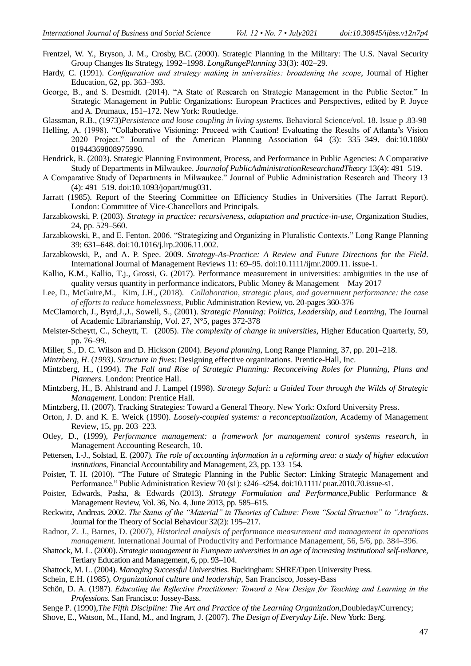- Frentzel, W. Y., Bryson, J. M., Crosby, B.C. (2000). Strategic Planning in the Military: The U.S. Naval Security Group Changes Its Strategy, 1992–1998. *LongRangePlanning* 33(3): 402–29.
- Hardy, C. (1991). *Configuration and strategy making in universities: broadening the scope*, Journal of Higher Education, 62, pp. 363–393.
- George, B., and S. Desmidt. (2014). "A State of Research on Strategic Management in the Public Sector." In Strategic Management in Public Organizations: European Practices and Perspectives, edited by P. Joyce and A. Drumaux, 151–172. New York: Routledge.
- Glassman, R.B., (1973)*Persistence and loose coupling in living systems.* Behavioral Science/vol. 18. Issue p .83-98
- Helling, A. (1998). "Collaborative Visioning: Proceed with Caution! Evaluating the Results of Atlanta's Vision 2020 Project." Journal of the American Planning Association 64 (3): 335–349. doi:10.1080/ 01944369808975990.
- Hendrick, R. (2003). Strategic Planning Environment, Process, and Performance in Public Agencies: A Comparative Study of Departments in Milwaukee. *Journalof PublicAdministrationResearchandTheory* 13(4): 491–519.
- A Comparative Study of Departments in Milwaukee." Journal of Public Administration Research and Theory 13 (4): 491–519. doi:10.1093/jopart/mug031.
- Jarratt (1985). Report of the Steering Committee on Efficiency Studies in Universities (The Jarratt Report). London: Committee of Vice-Chancellors and Principals.
- Jarzabkowski, P. (2003). *Strategy in practice: recursiveness, adaptation and practice-in-use*, Organization Studies, 24, pp. 529–560.
- Jarzabkowski, P., and E. Fenton. 2006. "Strategizing and Organizing in Pluralistic Contexts." Long Range Planning 39: 631–648. doi:10.1016/j.lrp.2006.11.002.
- Jarzabkowski, P., and A. P. Spee. 2009. *Strategy-As-Practice: A Review and Future Directions for the Field*. International Journal of Management Reviews 11: 69–95. doi:10.1111/ijmr.2009.11. issue-1.
- Kallio, K.M., Kallio, T.j., Grossi, G. (2017). Performance measurement in universities: ambiguities in the use of quality versus quantity in performance indicators, Public Money & Management – May 2017
- Lee, D., McGuire,M., Kim, J.H., (2018). *Collaboration, strategic plans, and government performance: the case of efforts to reduce homelessness,* Public Administration Review, vo. 20-pages 360-376
- McClamorch, J., Byrd,J.,J., Sowell, S., (2001). *Strategic Planning: Politics, Leadership, and Learning*, The Journal of Academic Librarianship, Vol. 27, N°5, pages 372-378
- Meister-Scheytt, C., Scheytt, T. (2005). *The complexity of change in universities*, Higher Education Quarterly, 59, pp. 76–99.
- Miller, S., D. C. Wilson and D. Hickson (2004). *Beyond planning,* Long Range Planning, 37, pp. 201–218.
- *Mintzberg*, *H*. (*1993)*. *Structure in fives*: Designing effective organizations. Prentice-Hall, Inc.
- Mintzberg, H., (1994). *The Fall and Rise of Strategic Planning: Reconceiving Roles for Planning, Plans and Planners.* London: Prentice Hall.
- Mintzberg, H., B. Ahlstrand and J. Lampel (1998). *Strategy Safari: a Guided Tour through the Wilds of Strategic Management*. London: Prentice Hall.
- Mintzberg, H. (2007). Tracking Strategies: Toward a General Theory. New York: Oxford University Press.
- Orton, J. D. and K. E. Weick (1990). *Loosely-coupled systems: a reconceptualization,* Academy of Management Review, 15, pp. 203–223.
- Otley, D., (1999), *Performance management: a framework for management control systems research,* in Management Accounting Research, 10.
- Pettersen, I.-J., Solstad, E. (2007). *The role of accounting information in a reforming area: a study of higher education institutions*, Financial Accountability and Management, 23, pp. 133–154.
- Poister, T. H. (2010). "The Future of Strategic Planning in the Public Sector: Linking Strategic Management and Performance." Public Administration Review 70 (s1): s246–s254. doi:10.1111/ puar.2010.70.issue-s1.
- Poister, Edwards, Pasha, & Edwards (2013). *Strategy Formulation and Performance*,Public Performance & Management Review, Vol. 36, No. 4, June 2013, pp. 585–615.
- Reckwitz, Andreas. 2002. *The Status of the "Material" in Theories of Culture: From "Social Structure" to "Artefacts*. Journal for the Theory of Social Behaviour 32(2): 195–217.
- Radnor, Z. J., Barnes, D. (2007), *Historical analysis of performance measurement and management in operations management.* International Journal of Productivity and Performance Management, 56, 5/6, pp. 384–396.
- Shattock, M. L. (2000). *Strategic management in European universities in an age of increasing institutional self-reliance,* Tertiary Education and Management, 6, pp. 93–104.
- Shattock, M. L. (2004). *Managing Successful Universities*. Buckingham: SHRE/Open University Press.
- Schein, E.H. (1985), *Organizational culture and leadership*, San Francisco, Jossey-Bass
- Schön, D. A. (1987). *Educating the Reflective Practitioner: Toward a New Design for Teaching and Learning in the Professions.* San Francisco: Jossey-Bass.
- Senge P. (1990),*The Fifth Discipline: The Art and Practice of the Learning Organization*,Doubleday/Currency;
- Shove, E., Watson, M., Hand, M., and Ingram, J. (2007). *The Design of Everyday Life*. New York: Berg.